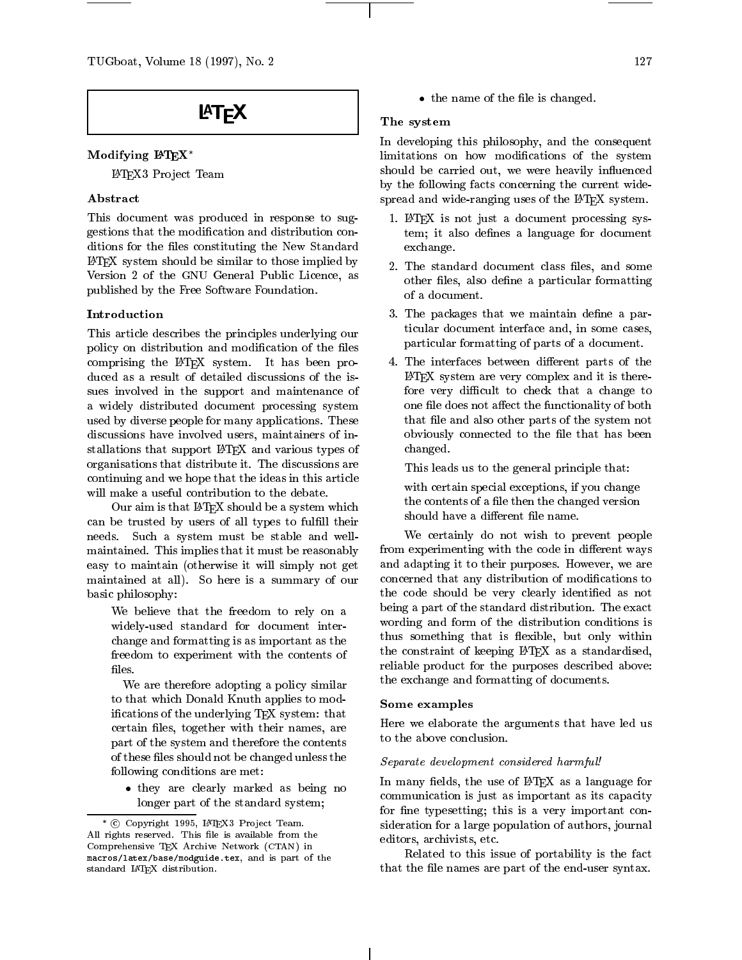# **LAT<sub>F</sub>X**

# Modifying  $\mathbf{P}\mathbf{F}X^*$

LATEX3 Pro ject Team

# Abstract

This document was produced in response to suggestions that the modication and distribution conditions for the files constituting the New Standard LATEX system should be similar to those implied by Version 2 of the GNU General Public Licence, as published by the Free Software Foundation.

# Introduction

This article describes the principles underlying our policy on distribution and modification of the files comprising the LATEX system. It has been produced as a result of detailed discussions of the issues involved in the support and maintenance of a widely distributed document processing system used by diverse people for many applications. These discussions have involved users, maintainers of installations that support LATEX and various types of organisations that distribute it. The discussions are continuing and we hope that the ideas in this article will make a useful contribution to the debate.

Our aim is that LATEX should be a system which the contents of a fire then the channel can be trusted by users of all types to fulfill their needs. Such a system must be stable and wellmaintained. This implies that it must be reasonably easy to maintain (otherwise it will simply not get maintained at all). So here is a summary of our basic philosophy:

We believe that the freedom to rely on a widely-used standard for document interchange and formatting is as important as the freedom to experiment with the contents of files.

We are therefore adopting a policy similar to that which Donald Knuth applies to modifications of the underlying TFX system: that certain files, together with their names, are part of the system and therefore the contents of these files should not be changed unless the following conditions are met:

 they are clearly marked as being no longer part of the standard system;

the common the there is a changed of the change of the change of the change of the change of the change of the

### The system

In developing this philosophy, and the consequent limitations on how modications of the system should be carried out, we were heavily influenced by the following facts concerning the current widespread and wide-ranging uses of the IATEX system.

- 1. LATEX is not just a document processing system; it also defines a language for document exchange.
- 2. The standard document class files, and some other files, also define a particular formatting of a document.
- 3. The packages that we maintain define a particular document interface and, in some cases, particular formatting of parts of a document.
- 4. The interfaces between different parts of the LATEX system are very complex and it is therefore very difficult to check that a change to one file does not affect the functionality of both that file and also other parts of the system not obviously connected to the file that has been changed.

This leads us to the general principle that:

with certain special exceptions, if you change the contents of a file then the changed version

We certainly do not wish to prevent people from experimenting with the code in different ways and adapting it to their purposes. However, we are concerned that any distribution of modications to the code should be very clearly identified as not being a part of the standard distribution. The exact wording and form of the distribution conditions is thus something that is flexible, but only within the constraint of keeping LATEX as a standardised, reliable product for the purposes described above: the exchange and formatting of documents.

#### Some examples

Here we elaborate the arguments that have led us to the above conclusion.

#### se op an announce and providered in a more considered harmful and considered harmful!

In many fields, the use of LAT<sub>EX</sub> as a language for communication is just as important as its capacity for fine typesetting; this is a very important consideration for a large population of authors, journal editors, archivists, etc.

Related to this issue of portability is the fact that the file names are part of the end-user syntax.

<sup>c</sup> Copyright 1995, LATEX3 Pro ject Team. All rights reserved. This file is available from the Comprehensive TEX Archive Network (CTAN) in macros/latex/base/modguide.tex, and is part of the standard LATEX distribution.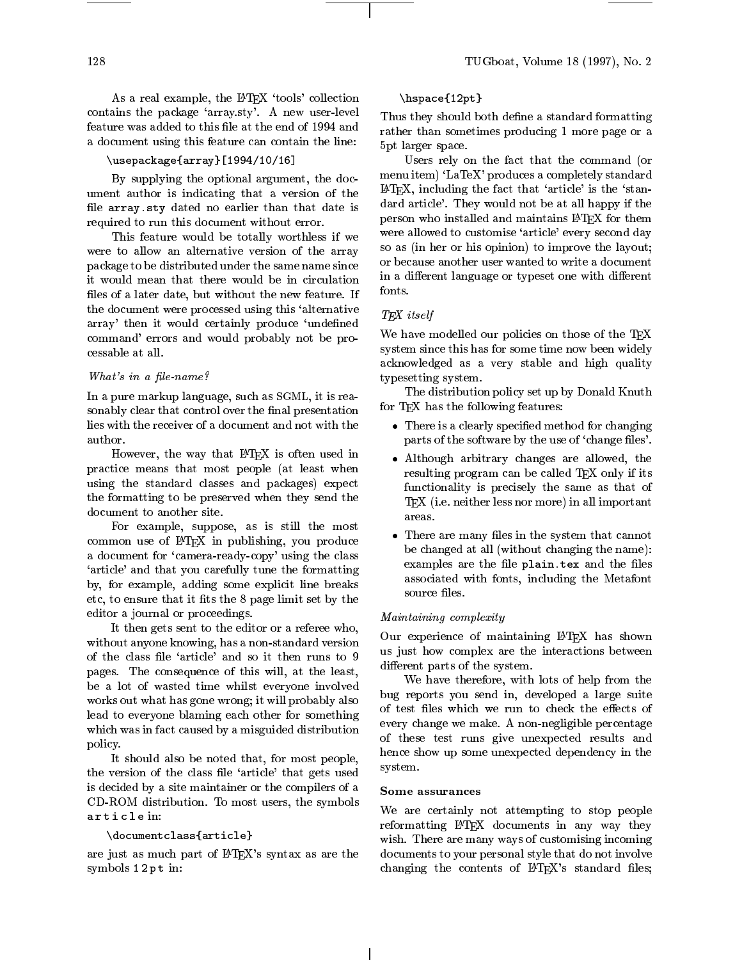As a real example, the IATEX 'tools' collection contains the package `array.sty'. A new user-level feature was added to this file at the end of 1994 and a document using this feature can contain the line:

# \usepackage{array}[1994/10/16]

By supplying the optional argument, the document author is indicating that a version of the file array.sty dated no earlier than that date is required to run this document without error.

This feature would be totally worthless if we were to allow an alternative version of the array package to be distributed under the same name since it would mean that there would be in circulation files of a later date, but without the new feature. If the document were processed using this `alternative array' then it would certainly produce 'undefined command' errors and would probably not be processable at all.

#### What's in a file-name?

In a pure markup language, such as SGML, it is reasonably clear that control over the final presentation lies with the receiver of a document and not with the

However, the way that IATEX is often used in practice means that most people (at least when using the standard classes and packages) expect the formatting to be preserved when they send the document to another site.

For example, suppose, as is still the most common use of LATEX in publishing, you produce a document for 'camera-ready-copy' using the class `article' and that you carefully tune the formatting by, for example, adding some explicit line breaks etc, to ensure that it fits the 8 page limit set by the editor a journal or proceedings.

It then gets sent to the editor or a referee who, without anyone knowing, has a non-standard version of the class file 'article' and so it then runs to 9 pages. The consequence of this will, at the least, be a lot of wasted time whilst everyone involved works out what has gone wrong; it will probably also lead to everyone blaming each other for something which was in fact caused by a misguided distribution policy.

It should also be noted that, for most people, the version of the class file 'article' that gets used is decided by a site maintainer or the compilers of a Some assurances CD-ROM distribution. To most users, the symbols article in:

### \documentclass{article}

are just as much part of LATEX's syntax as are the symbols 12pt in:

# \hspace{12pt}

Thus they should both define a standard formatting rather than sometimes producing 1 more page or a 5pt larger space.

Users rely on the fact that the command (or menu item) 'LaTeX' produces a completely standard  $\text{LATEX},$  including the fact that 'article' is the 'standard article'. They would not be at all happy if the person who installed and maintains LATFX for them were allowed to customise 'article' every second day so as (in her or his opinion) to improve the layout; or because another user wanted to write a document in a different language or typeset one with different fonts.

# T<sub>E</sub>X itself

We have modelled our policies on those of the T<sub>E</sub>X system since this has for some time now been widely acknowledged as a very stable and high quality typesetting system.

The distribution policy set up by Donald Knuth for TEX has the following features:

- There is a clearly specied method for changing parts of the software by the use of 'change files'.
- Although arbitrary changes are allowed, the resulting program can be called TEX only if its functionality is precisely the same as that of T<sub>EX</sub> (i.e. neither less nor more) in all important areas.
- There are many les in the system that cannot be changed at all (without changing the name): examples are the file plain. tex and the files associated with fonts, including the Metafont source files.

#### Maintaining complexity

Our experience of maintaining LATEX has shown us just how complex are the interactions between different parts of the system.

We have therefore, with lots of help from the bug reports you send in, developed a large suite of test files which we run to check the effects of every change we make. A non-negligible percentage of these test runs give unexpected results and hence show up some unexpected dependency in the system.

We are certainly not attempting to stop people reformatting LATEX documents in any way they wish. There are many ways of customising incoming documents to your personal style that do not involve changing the contents of  $L^2 F_X$ 's standard files;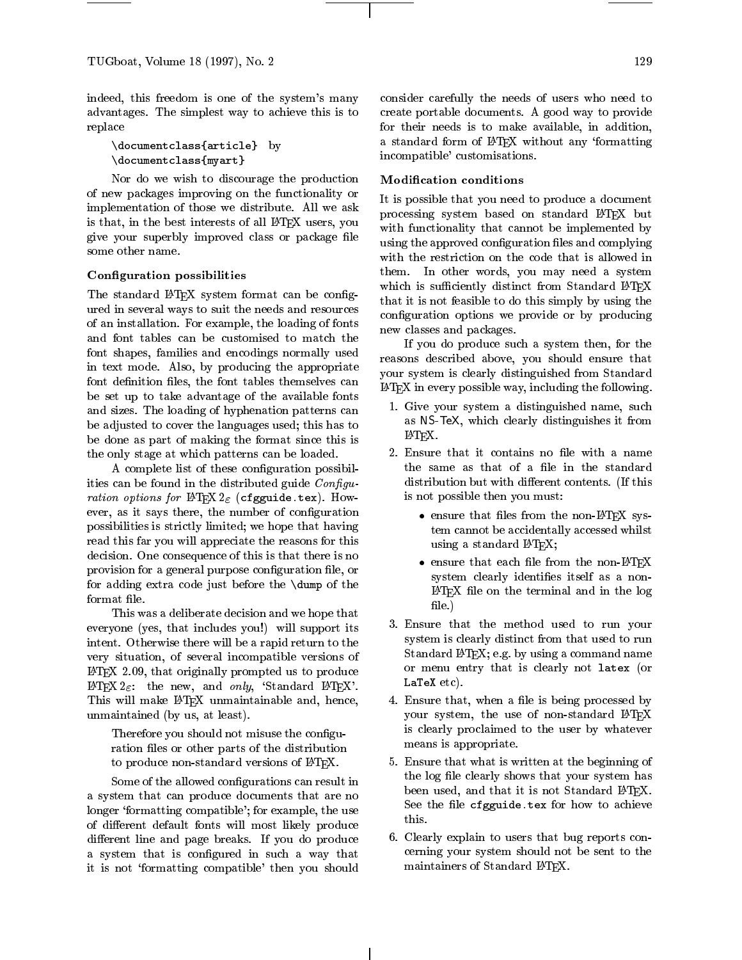indeed, this freedom is one of the system's many advantages. The simplest way to achieve this is to replace

\documentclass{article} by \documentclass{myart}

Nor do we wish to discourage the production of new packages improving on the functionality or implementation of those we distribute. All we ask is that, in the best interests of all LAT<sub>EX</sub> users, you give your superbly improved class or package file some other name.

## Configuration possibilities

The standard LAT<sub>EX</sub> system format can be configured in several ways to suit the needs and resources of an installation. For example, the loading of fonts and font tables can be customised to match the font shapes, families and encodings normally used in text mode. Also, by producing the appropriate font definition files, the font tables themselves can be set up to take advantage of the available fonts and sizes. The loading of hyphenation patterns can be adjusted to cover the languages used; this has to be done as part of making the format since this is the only stage at which patterns can be loaded.

A complete list of these configuration possibilities can be found in the distributed guide  $Configu$ ration options for  $L_{\text{L}}$   $L_{\text{L}}$   $L_{\text{L}}$  (cigguide.tex). However, as it says there, the number of configuration possibilities is strictly limited; we hope that having read this far you will appreciate the reasons for this decision. One consequence of this is that there is no provision for a general purpose configuration file, or for adding extra code just before the \dump of the format file.

This was a deliberate decision and we hope that everyone (yes, that includes you!) will support its intent. Otherwise there will be a rapid return to the very situation, of several incompatible versions of LATEX 2.09, that originally prompted us to produce LATEX  $2\varepsilon$ : the new, and only, 'Standard LATEX'. This will make L<sup>A</sup>TEX unmaintainable and, hence, unmaintained (by us, at least).

Therefore you should not misuse the configuration files or other parts of the distribution to produce non-standard versions of IATEX.

Some of the allowed configurations can result in a system that can produce documents that are no longer 'formatting compatible'; for example, the use of different default fonts will most likely produce different line and page breaks. If you do produce a system that is configured in such a way that it is not 'formatting compatible' then you should

consider carefully the needs of users who need to create portable documents. A good way to provide for their needs is to make available, in addition, a standard form of LATEX without any 'formatting incompatible' customisations.

# Modication conditions

It is possible that you need to produce a document processing system based on standard LATEX but with functionality that cannot be implemented by using the approved configuration files and complying with the restriction on the code that is allowed in them. In other words, you may need a system which is sufficiently distinct from Standard LATEX that it is not feasible to do this simply by using the configuration options we provide or by producing new classes and packages.

If you do produce such a system then, for the reasons described above, you should ensure that your system is clearly distinguished from Standard LATEX in every possible way, including the following.

- 1. Give your system a distinguished name, such as NS-TeX, which clearly distinguishes it from LAT<sub>F</sub>X.
- 2. Ensure that it contains no file with a name the same as that of a file in the standard distribution but with different contents. (If this is not possible then you must:
	- $\bullet$  chance that first from the non-LATEX system cannot be accidentally accessed whilst using a standard IATEX;
	- $\bullet$  change that each life from the non-E-rex system clearly identifies itself as a non-LATEX le on the terminal and in the log file.)
- 3. Ensure that the method used to run your system is clearly distinct from that used to run Standard L<sup>AT</sup>EX; e.g. by using a command name or menu entry that is clearly not latex (or LaTeX etc).
- 4. Ensure that, when a file is being processed by your system, the use of non-standard LATFX is clearly proclaimed to the user by whatever means is appropriate.
- 5. Ensure that what is written at the beginning of the log file clearly shows that your system has been used, and that it is not Standard IATEX. See the file cfgguide.tex for how to achieve this.
- 6. Clearly explain to users that bug reports concerning your system should not be sent to the maintainers of Standard LATEX.